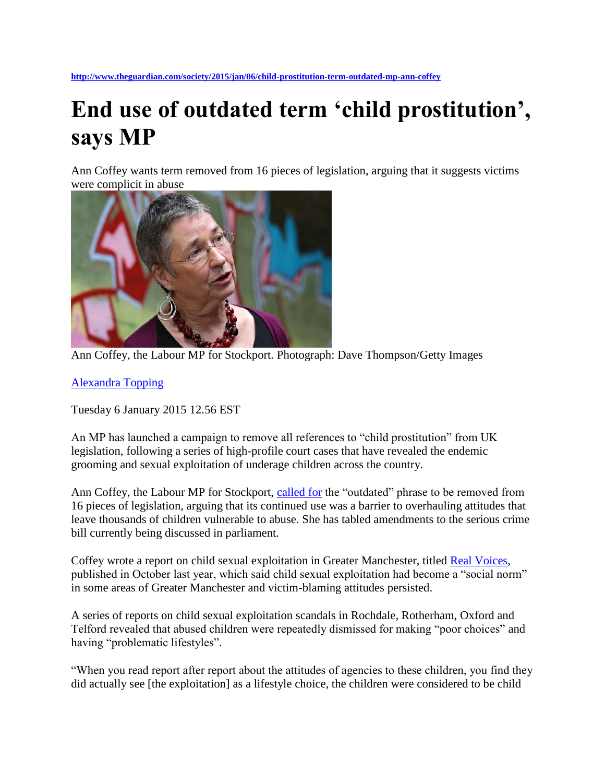**<http://www.theguardian.com/society/2015/jan/06/child-prostitution-term-outdated-mp-ann-coffey>**

## **End use of outdated term 'child prostitution', says MP**

Ann Coffey wants term removed from 16 pieces of legislation, arguing that it suggests victims were complicit in abuse



Ann Coffey, the Labour MP for Stockport. Photograph: Dave Thompson/Getty Images

[Alexandra Topping](http://www.theguardian.com/profile/alexandratopping)

Tuesday 6 January 2015 12.56 EST

An MP has launched a campaign to remove all references to "child prostitution" from UK legislation, following a series of high-profile court cases that have revealed the endemic grooming and sexual exploitation of underage children across the country.

Ann Coffey, the Labour MP for Stockport, [called for](http://anncoffeymp.com/speech-by-ann-coffey-mp-banishing-the-term-child-prostitute/) the "outdated" phrase to be removed from 16 pieces of legislation, arguing that its continued use was a barrier to overhauling attitudes that leave thousands of children vulnerable to abuse. She has tabled amendments to the serious crime bill currently being discussed in parliament.

Coffey wrote a report on child sexual exploitation in Greater Manchester, titled [Real Voices,](http://anncoffeymp.com/wp-content/uploads/2014/10/Real-Voices-Final.pdf) published in October last year, which said child sexual exploitation had become a "social norm" in some areas of Greater Manchester and victim-blaming attitudes persisted.

A series of reports on child sexual exploitation scandals in Rochdale, Rotherham, Oxford and Telford revealed that abused children were repeatedly dismissed for making "poor choices" and having "problematic lifestyles".

"When you read report after report about the attitudes of agencies to these children, you find they did actually see [the exploitation] as a lifestyle choice, the children were considered to be child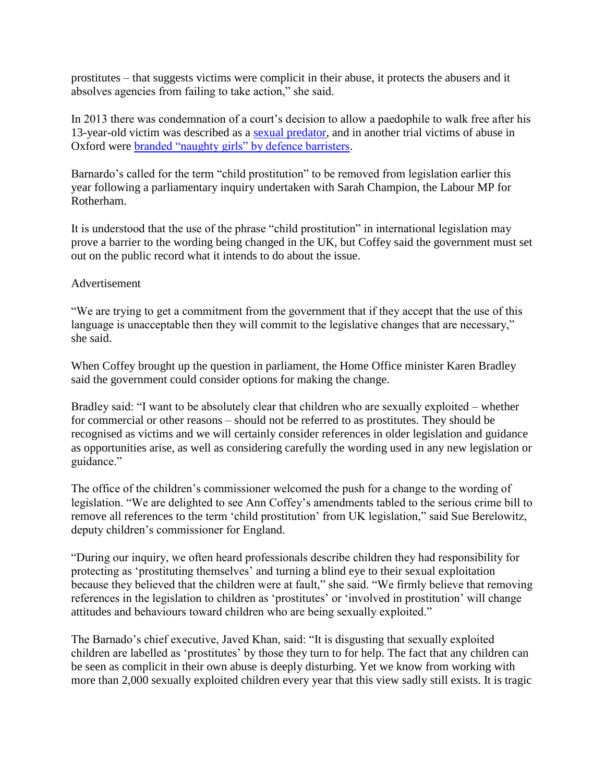prostitutes – that suggests victims were complicit in their abuse, it protects the abusers and it absolves agencies from failing to take action," she said.

In 2013 there was condemnation of a court's decision to allow a paedophile to walk free after his 13-year-old victim was described as a [sexual predator,](http://www.theguardian.com/uk-news/2013/aug/12/paedophile-victim-predatory-sentence-increased) and in another trial victims of abuse in Oxford were [branded "naughty girls" by defence barristers.](http://www.theguardian.com/law/2013/may/19/oxford-grooming-gang-trial-barnardos)

Barnardo's called for the term "child prostitution" to be removed from legislation earlier this year following a parliamentary inquiry undertaken with Sarah Champion, the Labour MP for Rotherham.

It is understood that the use of the phrase "child prostitution" in international legislation may prove a barrier to the wording being changed in the UK, but Coffey said the government must set out on the public record what it intends to do about the issue.

## Advertisement

"We are trying to get a commitment from the government that if they accept that the use of this language is unacceptable then they will commit to the legislative changes that are necessary," she said.

When Coffey brought up the question in parliament, the Home Office minister Karen Bradley said the government could consider options for making the change.

Bradley said: "I want to be absolutely clear that children who are sexually exploited – whether for commercial or other reasons – should not be referred to as prostitutes. They should be recognised as victims and we will certainly consider references in older legislation and guidance as opportunities arise, as well as considering carefully the wording used in any new legislation or guidance."

The office of the children's commissioner welcomed the push for a change to the wording of legislation. "We are delighted to see Ann Coffey's amendments tabled to the serious crime bill to remove all references to the term 'child prostitution' from UK legislation," said Sue Berelowitz, deputy children's commissioner for England.

"During our inquiry, we often heard professionals describe children they had responsibility for protecting as 'prostituting themselves' and turning a blind eye to their sexual exploitation because they believed that the children were at fault," she said. "We firmly believe that removing references in the legislation to children as 'prostitutes' or 'involved in prostitution' will change attitudes and behaviours toward children who are being sexually exploited."

The Barnado's chief executive, Javed Khan, said: "It is disgusting that sexually exploited children are labelled as 'prostitutes' by those they turn to for help. The fact that any children can be seen as complicit in their own abuse is deeply disturbing. Yet we know from working with more than 2,000 sexually exploited children every year that this view sadly still exists. It is tragic